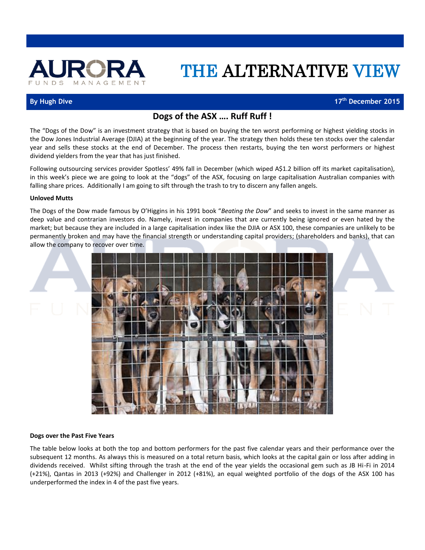

# THE ALTERNATIVE VIEW

## **By Hugh Dive 17th December 2015**

## **Dogs of the ASX …. Ruff Ruff !**

The "Dogs of the Dow" is an investment strategy that is based on buying the ten worst performing or highest yielding stocks in the Dow Jones Industrial Average (DJIA) at the beginning of the year. The strategy then holds these ten stocks over the calendar year and sells these stocks at the end of December. The process then restarts, buying the ten worst performers or highest dividend yielders from the year that has just finished.

Following outsourcing services provider Spotless' 49% fall in December (which wiped A\$1.2 billion off its market capitalisation), in this week's piece we are going to look at the "dogs" of the ASX, focusing on large capitalisation Australian companies with falling share prices. Additionally I am going to sift through the trash to try to discern any fallen angels.

#### **Unloved Mutts**

The Dogs of the Dow made famous by O'Higgins in his 1991 book "*Beating the Dow*" and seeks to invest in the same manner as deep value and contrarian investors do. Namely, invest in companies that are currently being ignored or even hated by the market; but because they are included in a large capitalisation index like the DJIA or ASX 100, these companies are unlikely to be permanently broken and may have the financial strength or understanding capital providers; (shareholders and banks), that can allow the company to recover over time.



#### **Dogs over the Past Five Years**

The table below looks at both the top and bottom performers for the past five calendar years and their performance over the subsequent 12 months. As always this is measured on a total return basis, which looks at the capital gain or loss after adding in dividends received. Whilst sifting through the trash at the end of the year yields the occasional gem such as JB Hi-Fi in 2014 (+21%), Qantas in 2013 (+92%) and Challenger in 2012 (+81%), an equal weighted portfolio of the dogs of the ASX 100 has underperformed the index in 4 of the past five years.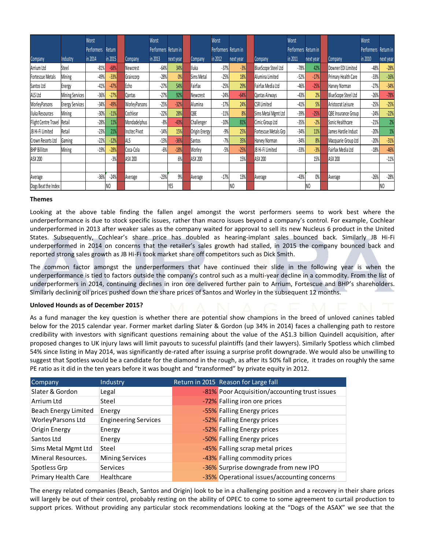| Performers<br>Return<br>in 2014<br>in 2015<br>Company<br>$-81%$<br>$-68%$<br>Newcrest<br>$-33%$<br>$-49%$<br>Graincorp<br>$-47%$<br>Echo<br>$-41%$<br>$-27%$<br>$-36%$<br>Qantas<br>$-49%$<br>WorleyParsons<br>$-34%$<br>$-30%$<br>$-11%$<br>Cochlear<br>11%<br>Mondadelphus<br>$-28%$<br>21%<br>$-23%$<br><b>Incitec Pivot</b><br>ALS<br>$-22%$<br>$-12%$<br>$-28%$<br>Coca-Cola<br>$-19%$<br>$-3%$<br>ASX 200<br>$-36%$<br>$-24%$<br>Average<br>N <sub>0</sub><br>Looking at the above table finding the fallen angel amongst the worst performers seems to work best where the                                                                                                                                                                                                                                                                                                                                                                                                                                                                                                                                                                                                                                                                                                                                                                                                                                                                                                                                                                                                                                                                                                                                                                                                                                                                                                                                                                                                                                                                                                               | Performers Return in<br>in 2013<br>$-64%$<br>$-28%$<br>$-27%$<br>$-27%$<br>$-25%$<br>$-22%$<br>$-8%$<br>$-14%$<br>$-13%$<br>$-6%$<br>$-23%$<br><b>YES</b> | next year<br>34%<br>0%<br>54%<br>92%<br>$-32%$<br>28%<br>$-43%$<br>15%<br>$-36%$<br>$-18%$<br>6%<br>9% | Company<br>Iluka<br>Sims Metal<br>Fairfax<br>Newcrest<br>Alumina<br>QBE<br>Challenger<br>Origin Energy<br>Santos<br>Worley<br><b>ASX 200</b><br>Average | Performers Return in<br>in 2012<br>$-37%$<br>$-25%$<br>$-25%$<br>$-24%$<br>$-17%$<br>$-11%$<br>$-10%$<br>$-9%$<br>$-7%$<br>$-5%$<br>$-17%$ | next year<br>$-3%$<br>18%<br>29%<br>$-64%$<br>24%<br>8%<br>81%<br>25%<br>35%<br>$-25%$<br>15%<br>13%<br>N <sub>0</sub> | Company<br><b>CSR Limited</b><br>ASX 200<br>Average | BlueScope Steel Ltd<br>Alumina Limited<br>Fairfax Media Ltd<br>Qantas Airways<br>Sims Metal Mgmt Ltd<br>Cimic Group Ltd<br>Fortescue Metals Grp<br>Harvey Norman<br>JB Hi-Fi Limited | Performers Return in<br>in 2011<br>$-78%$<br>$-52%$<br>$-46%$<br>$-43%$<br>$-41%$<br>$-39%$<br>$-35%$<br>$-34%$<br>$-34%$<br>$-33%$<br>$-43%$                                                | next year<br>42%<br>$-17%$<br>$-25%$<br>2%<br>5%<br>$-25%$<br>$-2%$<br>11%<br>8%<br>$-3%$<br>15%<br>$0\%$<br>N <sub>0</sub> | Company<br>Downer EDI Limited<br>Primary Health Care<br>Harvey Norman<br>BlueScope Steel Ltd<br>Aristocrat Leisure<br>QBE Insurance Group<br>Sonic Healthcare<br>James Hardie Indust<br>Macquarie Group Ltd<br>Fairfax Media Ltd<br>ASX 200<br>Average | Performers Return in<br>in 2010<br>$-48%$<br>$-33%$<br>$-27%$<br>$-26%$<br>$-25%$<br>$-24%$<br>$-21%$<br>$-20%$<br>$-20%$<br>$-18%$<br>$-26%$ | next year<br>$-28%$<br>$-16%$<br>$-34%$<br>$-78%$<br>$-25%$<br>$-22%$<br>2%<br>$1\%$<br>$-31%$<br>$-46%$<br>$-11%$<br>$-28%$<br>NO.                                                                                                                                   |
|-------------------------------------------------------------------------------------------------------------------------------------------------------------------------------------------------------------------------------------------------------------------------------------------------------------------------------------------------------------------------------------------------------------------------------------------------------------------------------------------------------------------------------------------------------------------------------------------------------------------------------------------------------------------------------------------------------------------------------------------------------------------------------------------------------------------------------------------------------------------------------------------------------------------------------------------------------------------------------------------------------------------------------------------------------------------------------------------------------------------------------------------------------------------------------------------------------------------------------------------------------------------------------------------------------------------------------------------------------------------------------------------------------------------------------------------------------------------------------------------------------------------------------------------------------------------------------------------------------------------------------------------------------------------------------------------------------------------------------------------------------------------------------------------------------------------------------------------------------------------------------------------------------------------------------------------------------------------------------------------------------------------------------------------------------------------------------------------------|-----------------------------------------------------------------------------------------------------------------------------------------------------------|--------------------------------------------------------------------------------------------------------|---------------------------------------------------------------------------------------------------------------------------------------------------------|--------------------------------------------------------------------------------------------------------------------------------------------|------------------------------------------------------------------------------------------------------------------------|-----------------------------------------------------|--------------------------------------------------------------------------------------------------------------------------------------------------------------------------------------|----------------------------------------------------------------------------------------------------------------------------------------------------------------------------------------------|-----------------------------------------------------------------------------------------------------------------------------|--------------------------------------------------------------------------------------------------------------------------------------------------------------------------------------------------------------------------------------------------------|-----------------------------------------------------------------------------------------------------------------------------------------------|-----------------------------------------------------------------------------------------------------------------------------------------------------------------------------------------------------------------------------------------------------------------------|
|                                                                                                                                                                                                                                                                                                                                                                                                                                                                                                                                                                                                                                                                                                                                                                                                                                                                                                                                                                                                                                                                                                                                                                                                                                                                                                                                                                                                                                                                                                                                                                                                                                                                                                                                                                                                                                                                                                                                                                                                                                                                                                 |                                                                                                                                                           |                                                                                                        |                                                                                                                                                         |                                                                                                                                            |                                                                                                                        |                                                     |                                                                                                                                                                                      |                                                                                                                                                                                              |                                                                                                                             |                                                                                                                                                                                                                                                        |                                                                                                                                               |                                                                                                                                                                                                                                                                       |
|                                                                                                                                                                                                                                                                                                                                                                                                                                                                                                                                                                                                                                                                                                                                                                                                                                                                                                                                                                                                                                                                                                                                                                                                                                                                                                                                                                                                                                                                                                                                                                                                                                                                                                                                                                                                                                                                                                                                                                                                                                                                                                 |                                                                                                                                                           |                                                                                                        |                                                                                                                                                         |                                                                                                                                            |                                                                                                                        |                                                     |                                                                                                                                                                                      |                                                                                                                                                                                              |                                                                                                                             |                                                                                                                                                                                                                                                        |                                                                                                                                               |                                                                                                                                                                                                                                                                       |
|                                                                                                                                                                                                                                                                                                                                                                                                                                                                                                                                                                                                                                                                                                                                                                                                                                                                                                                                                                                                                                                                                                                                                                                                                                                                                                                                                                                                                                                                                                                                                                                                                                                                                                                                                                                                                                                                                                                                                                                                                                                                                                 |                                                                                                                                                           |                                                                                                        |                                                                                                                                                         |                                                                                                                                            |                                                                                                                        |                                                     |                                                                                                                                                                                      |                                                                                                                                                                                              |                                                                                                                             |                                                                                                                                                                                                                                                        |                                                                                                                                               |                                                                                                                                                                                                                                                                       |
|                                                                                                                                                                                                                                                                                                                                                                                                                                                                                                                                                                                                                                                                                                                                                                                                                                                                                                                                                                                                                                                                                                                                                                                                                                                                                                                                                                                                                                                                                                                                                                                                                                                                                                                                                                                                                                                                                                                                                                                                                                                                                                 |                                                                                                                                                           |                                                                                                        |                                                                                                                                                         |                                                                                                                                            |                                                                                                                        |                                                     |                                                                                                                                                                                      |                                                                                                                                                                                              |                                                                                                                             |                                                                                                                                                                                                                                                        |                                                                                                                                               |                                                                                                                                                                                                                                                                       |
|                                                                                                                                                                                                                                                                                                                                                                                                                                                                                                                                                                                                                                                                                                                                                                                                                                                                                                                                                                                                                                                                                                                                                                                                                                                                                                                                                                                                                                                                                                                                                                                                                                                                                                                                                                                                                                                                                                                                                                                                                                                                                                 |                                                                                                                                                           |                                                                                                        |                                                                                                                                                         |                                                                                                                                            |                                                                                                                        |                                                     |                                                                                                                                                                                      |                                                                                                                                                                                              |                                                                                                                             |                                                                                                                                                                                                                                                        |                                                                                                                                               |                                                                                                                                                                                                                                                                       |
|                                                                                                                                                                                                                                                                                                                                                                                                                                                                                                                                                                                                                                                                                                                                                                                                                                                                                                                                                                                                                                                                                                                                                                                                                                                                                                                                                                                                                                                                                                                                                                                                                                                                                                                                                                                                                                                                                                                                                                                                                                                                                                 |                                                                                                                                                           |                                                                                                        |                                                                                                                                                         |                                                                                                                                            |                                                                                                                        |                                                     |                                                                                                                                                                                      |                                                                                                                                                                                              |                                                                                                                             |                                                                                                                                                                                                                                                        |                                                                                                                                               |                                                                                                                                                                                                                                                                       |
|                                                                                                                                                                                                                                                                                                                                                                                                                                                                                                                                                                                                                                                                                                                                                                                                                                                                                                                                                                                                                                                                                                                                                                                                                                                                                                                                                                                                                                                                                                                                                                                                                                                                                                                                                                                                                                                                                                                                                                                                                                                                                                 |                                                                                                                                                           |                                                                                                        |                                                                                                                                                         |                                                                                                                                            |                                                                                                                        |                                                     |                                                                                                                                                                                      |                                                                                                                                                                                              |                                                                                                                             |                                                                                                                                                                                                                                                        |                                                                                                                                               |                                                                                                                                                                                                                                                                       |
|                                                                                                                                                                                                                                                                                                                                                                                                                                                                                                                                                                                                                                                                                                                                                                                                                                                                                                                                                                                                                                                                                                                                                                                                                                                                                                                                                                                                                                                                                                                                                                                                                                                                                                                                                                                                                                                                                                                                                                                                                                                                                                 |                                                                                                                                                           |                                                                                                        |                                                                                                                                                         |                                                                                                                                            |                                                                                                                        |                                                     |                                                                                                                                                                                      |                                                                                                                                                                                              |                                                                                                                             |                                                                                                                                                                                                                                                        |                                                                                                                                               |                                                                                                                                                                                                                                                                       |
|                                                                                                                                                                                                                                                                                                                                                                                                                                                                                                                                                                                                                                                                                                                                                                                                                                                                                                                                                                                                                                                                                                                                                                                                                                                                                                                                                                                                                                                                                                                                                                                                                                                                                                                                                                                                                                                                                                                                                                                                                                                                                                 |                                                                                                                                                           |                                                                                                        |                                                                                                                                                         |                                                                                                                                            |                                                                                                                        |                                                     |                                                                                                                                                                                      |                                                                                                                                                                                              |                                                                                                                             |                                                                                                                                                                                                                                                        |                                                                                                                                               |                                                                                                                                                                                                                                                                       |
|                                                                                                                                                                                                                                                                                                                                                                                                                                                                                                                                                                                                                                                                                                                                                                                                                                                                                                                                                                                                                                                                                                                                                                                                                                                                                                                                                                                                                                                                                                                                                                                                                                                                                                                                                                                                                                                                                                                                                                                                                                                                                                 |                                                                                                                                                           |                                                                                                        |                                                                                                                                                         |                                                                                                                                            |                                                                                                                        |                                                     |                                                                                                                                                                                      |                                                                                                                                                                                              |                                                                                                                             |                                                                                                                                                                                                                                                        |                                                                                                                                               |                                                                                                                                                                                                                                                                       |
|                                                                                                                                                                                                                                                                                                                                                                                                                                                                                                                                                                                                                                                                                                                                                                                                                                                                                                                                                                                                                                                                                                                                                                                                                                                                                                                                                                                                                                                                                                                                                                                                                                                                                                                                                                                                                                                                                                                                                                                                                                                                                                 |                                                                                                                                                           |                                                                                                        |                                                                                                                                                         |                                                                                                                                            |                                                                                                                        |                                                     |                                                                                                                                                                                      |                                                                                                                                                                                              |                                                                                                                             |                                                                                                                                                                                                                                                        |                                                                                                                                               |                                                                                                                                                                                                                                                                       |
|                                                                                                                                                                                                                                                                                                                                                                                                                                                                                                                                                                                                                                                                                                                                                                                                                                                                                                                                                                                                                                                                                                                                                                                                                                                                                                                                                                                                                                                                                                                                                                                                                                                                                                                                                                                                                                                                                                                                                                                                                                                                                                 |                                                                                                                                                           |                                                                                                        |                                                                                                                                                         |                                                                                                                                            |                                                                                                                        |                                                     |                                                                                                                                                                                      |                                                                                                                                                                                              |                                                                                                                             |                                                                                                                                                                                                                                                        |                                                                                                                                               |                                                                                                                                                                                                                                                                       |
|                                                                                                                                                                                                                                                                                                                                                                                                                                                                                                                                                                                                                                                                                                                                                                                                                                                                                                                                                                                                                                                                                                                                                                                                                                                                                                                                                                                                                                                                                                                                                                                                                                                                                                                                                                                                                                                                                                                                                                                                                                                                                                 |                                                                                                                                                           |                                                                                                        |                                                                                                                                                         |                                                                                                                                            |                                                                                                                        |                                                     |                                                                                                                                                                                      |                                                                                                                                                                                              |                                                                                                                             |                                                                                                                                                                                                                                                        |                                                                                                                                               |                                                                                                                                                                                                                                                                       |
|                                                                                                                                                                                                                                                                                                                                                                                                                                                                                                                                                                                                                                                                                                                                                                                                                                                                                                                                                                                                                                                                                                                                                                                                                                                                                                                                                                                                                                                                                                                                                                                                                                                                                                                                                                                                                                                                                                                                                                                                                                                                                                 |                                                                                                                                                           |                                                                                                        |                                                                                                                                                         |                                                                                                                                            |                                                                                                                        |                                                     |                                                                                                                                                                                      |                                                                                                                                                                                              |                                                                                                                             |                                                                                                                                                                                                                                                        |                                                                                                                                               |                                                                                                                                                                                                                                                                       |
|                                                                                                                                                                                                                                                                                                                                                                                                                                                                                                                                                                                                                                                                                                                                                                                                                                                                                                                                                                                                                                                                                                                                                                                                                                                                                                                                                                                                                                                                                                                                                                                                                                                                                                                                                                                                                                                                                                                                                                                                                                                                                                 |                                                                                                                                                           |                                                                                                        |                                                                                                                                                         |                                                                                                                                            |                                                                                                                        |                                                     |                                                                                                                                                                                      |                                                                                                                                                                                              |                                                                                                                             |                                                                                                                                                                                                                                                        |                                                                                                                                               |                                                                                                                                                                                                                                                                       |
|                                                                                                                                                                                                                                                                                                                                                                                                                                                                                                                                                                                                                                                                                                                                                                                                                                                                                                                                                                                                                                                                                                                                                                                                                                                                                                                                                                                                                                                                                                                                                                                                                                                                                                                                                                                                                                                                                                                                                                                                                                                                                                 |                                                                                                                                                           |                                                                                                        |                                                                                                                                                         |                                                                                                                                            |                                                                                                                        |                                                     |                                                                                                                                                                                      |                                                                                                                                                                                              |                                                                                                                             |                                                                                                                                                                                                                                                        |                                                                                                                                               |                                                                                                                                                                                                                                                                       |
| underperformance is due to stock specific issues, rather than macro issues beyond a company's control. For example, Cochlear<br>underperformed in 2013 after weaker sales as the company waited for approval to sell its new Nucleus 6 product in the United<br>States. Subsequently, Cochlear's share price has doubled as hearing-implant sales bounced back. Similarly JB Hi-Fi<br>underperformed in 2014 on concerns that the retailer's sales growth had stalled, in 2015 the company bounced back and<br>reported strong sales growth as JB Hi-Fi took market share off competitors such as Dick Smith.<br>The common factor amongst the underperformers that have continued their slide in the following year is when the<br>underperformance is tied to factors outside the company's control such as a multi-year decline in a commodity. From the list of<br>underperformers in 2014, continuing declines in iron ore delivered further pain to Arrium, Fortescue and BHP's shareholders.<br>Similarly declining oil prices pushed down the share prices of Santos and Worley in the subsequent 12 months.<br><b>Unloved Hounds as of December 2015?</b><br>As a fund manager the key question is whether there are potential show champions in the breed of unloved canines tabled<br>below for the 2015 calendar year. Former market darling Slater & Gordon (up 34% in 2014) faces a challenging path to restore<br>credibility with investors with significant questions remaining about the value of the A\$1.3 billion Quindell acquisition, after<br>proposed changes to UK injury laws will limit payouts to sucessful plaintiffs (and their lawyers). Similarly Spotless which climbed<br>54% since listing in May 2014, was significantly de-rated after issuing a surprise profit downgrade. We would also be unwilling to<br>suggest that Spotless would be a candidate for the diamond in the rough, as after its 50% fall price, it trades on roughly the same<br>PE ratio as it did in the ten years before it was bought and "transformed" by private equity in 2012. |                                                                                                                                                           |                                                                                                        |                                                                                                                                                         |                                                                                                                                            |                                                                                                                        |                                                     |                                                                                                                                                                                      |                                                                                                                                                                                              |                                                                                                                             |                                                                                                                                                                                                                                                        |                                                                                                                                               |                                                                                                                                                                                                                                                                       |
| Industry                                                                                                                                                                                                                                                                                                                                                                                                                                                                                                                                                                                                                                                                                                                                                                                                                                                                                                                                                                                                                                                                                                                                                                                                                                                                                                                                                                                                                                                                                                                                                                                                                                                                                                                                                                                                                                                                                                                                                                                                                                                                                        |                                                                                                                                                           |                                                                                                        |                                                                                                                                                         |                                                                                                                                            |                                                                                                                        |                                                     |                                                                                                                                                                                      |                                                                                                                                                                                              |                                                                                                                             |                                                                                                                                                                                                                                                        |                                                                                                                                               |                                                                                                                                                                                                                                                                       |
| Legal                                                                                                                                                                                                                                                                                                                                                                                                                                                                                                                                                                                                                                                                                                                                                                                                                                                                                                                                                                                                                                                                                                                                                                                                                                                                                                                                                                                                                                                                                                                                                                                                                                                                                                                                                                                                                                                                                                                                                                                                                                                                                           |                                                                                                                                                           |                                                                                                        |                                                                                                                                                         |                                                                                                                                            |                                                                                                                        |                                                     |                                                                                                                                                                                      |                                                                                                                                                                                              |                                                                                                                             |                                                                                                                                                                                                                                                        |                                                                                                                                               |                                                                                                                                                                                                                                                                       |
| Steel                                                                                                                                                                                                                                                                                                                                                                                                                                                                                                                                                                                                                                                                                                                                                                                                                                                                                                                                                                                                                                                                                                                                                                                                                                                                                                                                                                                                                                                                                                                                                                                                                                                                                                                                                                                                                                                                                                                                                                                                                                                                                           |                                                                                                                                                           |                                                                                                        |                                                                                                                                                         |                                                                                                                                            |                                                                                                                        |                                                     |                                                                                                                                                                                      |                                                                                                                                                                                              |                                                                                                                             |                                                                                                                                                                                                                                                        |                                                                                                                                               |                                                                                                                                                                                                                                                                       |
| Energy                                                                                                                                                                                                                                                                                                                                                                                                                                                                                                                                                                                                                                                                                                                                                                                                                                                                                                                                                                                                                                                                                                                                                                                                                                                                                                                                                                                                                                                                                                                                                                                                                                                                                                                                                                                                                                                                                                                                                                                                                                                                                          |                                                                                                                                                           |                                                                                                        |                                                                                                                                                         |                                                                                                                                            |                                                                                                                        |                                                     |                                                                                                                                                                                      |                                                                                                                                                                                              |                                                                                                                             |                                                                                                                                                                                                                                                        |                                                                                                                                               |                                                                                                                                                                                                                                                                       |
|                                                                                                                                                                                                                                                                                                                                                                                                                                                                                                                                                                                                                                                                                                                                                                                                                                                                                                                                                                                                                                                                                                                                                                                                                                                                                                                                                                                                                                                                                                                                                                                                                                                                                                                                                                                                                                                                                                                                                                                                                                                                                                 |                                                                                                                                                           |                                                                                                        |                                                                                                                                                         |                                                                                                                                            |                                                                                                                        |                                                     |                                                                                                                                                                                      |                                                                                                                                                                                              |                                                                                                                             |                                                                                                                                                                                                                                                        |                                                                                                                                               |                                                                                                                                                                                                                                                                       |
| Energy                                                                                                                                                                                                                                                                                                                                                                                                                                                                                                                                                                                                                                                                                                                                                                                                                                                                                                                                                                                                                                                                                                                                                                                                                                                                                                                                                                                                                                                                                                                                                                                                                                                                                                                                                                                                                                                                                                                                                                                                                                                                                          |                                                                                                                                                           |                                                                                                        |                                                                                                                                                         |                                                                                                                                            |                                                                                                                        |                                                     |                                                                                                                                                                                      |                                                                                                                                                                                              |                                                                                                                             |                                                                                                                                                                                                                                                        |                                                                                                                                               |                                                                                                                                                                                                                                                                       |
|                                                                                                                                                                                                                                                                                                                                                                                                                                                                                                                                                                                                                                                                                                                                                                                                                                                                                                                                                                                                                                                                                                                                                                                                                                                                                                                                                                                                                                                                                                                                                                                                                                                                                                                                                                                                                                                                                                                                                                                                                                                                                                 |                                                                                                                                                           |                                                                                                        |                                                                                                                                                         |                                                                                                                                            |                                                                                                                        |                                                     |                                                                                                                                                                                      |                                                                                                                                                                                              |                                                                                                                             |                                                                                                                                                                                                                                                        |                                                                                                                                               |                                                                                                                                                                                                                                                                       |
| Steel                                                                                                                                                                                                                                                                                                                                                                                                                                                                                                                                                                                                                                                                                                                                                                                                                                                                                                                                                                                                                                                                                                                                                                                                                                                                                                                                                                                                                                                                                                                                                                                                                                                                                                                                                                                                                                                                                                                                                                                                                                                                                           |                                                                                                                                                           |                                                                                                        |                                                                                                                                                         |                                                                                                                                            |                                                                                                                        |                                                     |                                                                                                                                                                                      |                                                                                                                                                                                              |                                                                                                                             |                                                                                                                                                                                                                                                        |                                                                                                                                               |                                                                                                                                                                                                                                                                       |
|                                                                                                                                                                                                                                                                                                                                                                                                                                                                                                                                                                                                                                                                                                                                                                                                                                                                                                                                                                                                                                                                                                                                                                                                                                                                                                                                                                                                                                                                                                                                                                                                                                                                                                                                                                                                                                                                                                                                                                                                                                                                                                 |                                                                                                                                                           |                                                                                                        |                                                                                                                                                         |                                                                                                                                            |                                                                                                                        |                                                     |                                                                                                                                                                                      |                                                                                                                                                                                              |                                                                                                                             |                                                                                                                                                                                                                                                        |                                                                                                                                               |                                                                                                                                                                                                                                                                       |
|                                                                                                                                                                                                                                                                                                                                                                                                                                                                                                                                                                                                                                                                                                                                                                                                                                                                                                                                                                                                                                                                                                                                                                                                                                                                                                                                                                                                                                                                                                                                                                                                                                                                                                                                                                                                                                                                                                                                                                                                                                                                                                 |                                                                                                                                                           |                                                                                                        |                                                                                                                                                         |                                                                                                                                            |                                                                                                                        |                                                     |                                                                                                                                                                                      |                                                                                                                                                                                              |                                                                                                                             |                                                                                                                                                                                                                                                        |                                                                                                                                               |                                                                                                                                                                                                                                                                       |
|                                                                                                                                                                                                                                                                                                                                                                                                                                                                                                                                                                                                                                                                                                                                                                                                                                                                                                                                                                                                                                                                                                                                                                                                                                                                                                                                                                                                                                                                                                                                                                                                                                                                                                                                                                                                                                                                                                                                                                                                                                                                                                 |                                                                                                                                                           |                                                                                                        |                                                                                                                                                         |                                                                                                                                            |                                                                                                                        |                                                     |                                                                                                                                                                                      |                                                                                                                                                                                              |                                                                                                                             |                                                                                                                                                                                                                                                        |                                                                                                                                               |                                                                                                                                                                                                                                                                       |
|                                                                                                                                                                                                                                                                                                                                                                                                                                                                                                                                                                                                                                                                                                                                                                                                                                                                                                                                                                                                                                                                                                                                                                                                                                                                                                                                                                                                                                                                                                                                                                                                                                                                                                                                                                                                                                                                                                                                                                                                                                                                                                 | Energy<br><b>Mining Services</b><br>Services<br>Healthcare                                                                                                | <b>Engineering Services</b>                                                                            |                                                                                                                                                         |                                                                                                                                            |                                                                                                                        |                                                     |                                                                                                                                                                                      | Return in 2015 Reason for Large fall<br>-72% Falling iron ore prices<br>-55% Falling Energy prices<br>-52% Falling Energy prices<br>-52% Falling Energy prices<br>-50% Falling Energy prices | -45% Falling scrap metal prices<br>-43% Falling commodity prices                                                            | -36% Surprise downgrade from new IPO                                                                                                                                                                                                                   | -81% Poor Acquisition/accounting trust issues<br>-35% Operational issues/accounting concerns                                                  | The energy related companies (Beach, Santos and Origin) look to be in a challenging position and a recovery in their share prices<br>will largely be out of their control, probably resting on the ability of OPEC to come to some agreement to curtail production to |

### **Themes**

#### **Unloved Hounds as of December 2015?**

| Company                    | Industry                    | Return in 2015 Reason for Large fall          |
|----------------------------|-----------------------------|-----------------------------------------------|
| Slater & Gordon            | Legal                       | -81% Poor Acquisition/accounting trust issues |
| Arrium Ltd                 | Steel                       | -72% Falling iron ore prices                  |
| Beach Energy Limited       | Energy                      | -55% Falling Energy prices                    |
| WorleyParsons Ltd          | <b>Engineering Services</b> | -52% Falling Energy prices                    |
| Origin Energy              | Energy                      | -52% Falling Energy prices                    |
| Santos Ltd                 | Energy                      | -50% Falling Energy prices                    |
| Sims Metal Mgmt Ltd        | Steel                       | -45% Falling scrap metal prices               |
| Mineral Resources.         | <b>Mining Services</b>      | -43% Falling commodity prices                 |
| Spotless Grp               | <b>Services</b>             | -36% Surprise downgrade from new IPO          |
| <b>Primary Health Care</b> | Healthcare                  | -35% Operational issues/accounting concerns   |